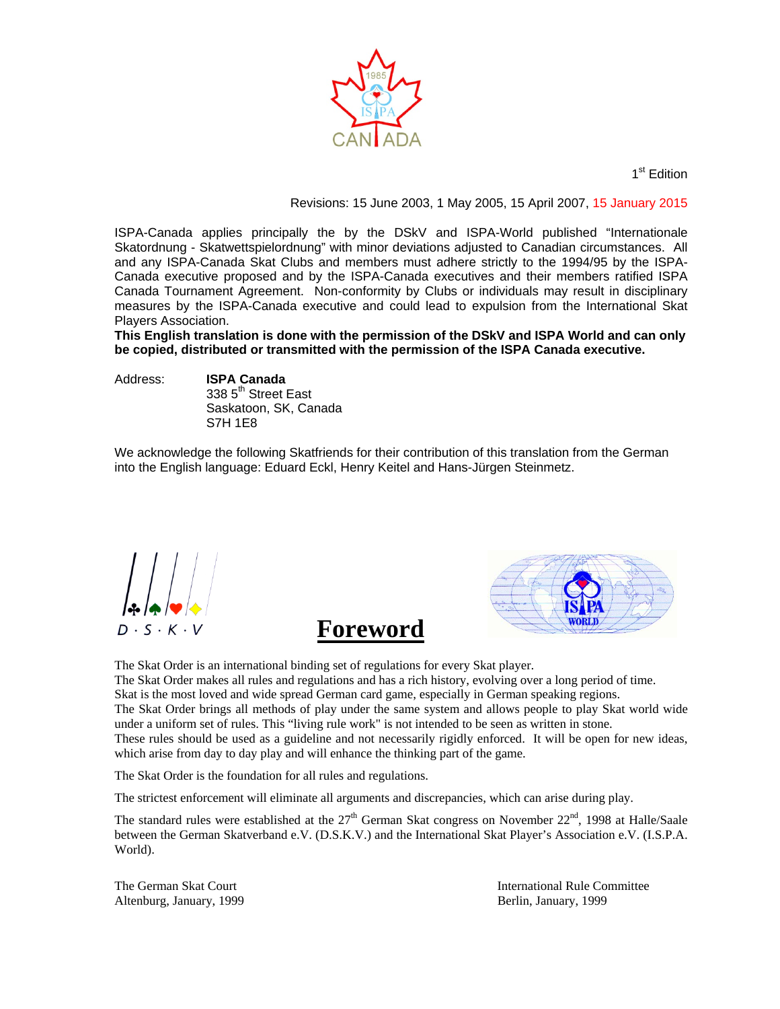

1<sup>st</sup> Edition

Revisions: 15 June 2003, 1 May 2005, 15 April 2007, 15 January 2015

ISPA-Canada applies principally the by the DSkV and ISPA-World published "Internationale Skatordnung - Skatwettspielordnung" with minor deviations adjusted to Canadian circumstances. All and any ISPA-Canada Skat Clubs and members must adhere strictly to the 1994/95 by the ISPA-Canada executive proposed and by the ISPA-Canada executives and their members ratified ISPA Canada Tournament Agreement. Non-conformity by Clubs or individuals may result in disciplinary measures by the ISPA-Canada executive and could lead to expulsion from the International Skat Players Association.

**This English translation is done with the permission of the DSkV and ISPA World and can only be copied, distributed or transmitted with the permission of the ISPA Canada executive.** 

Address: **ISPA Canada** 

338 5<sup>th</sup> Street East Saskatoon, SK, Canada S7H 1E8

We acknowledge the following Skatfriends for their contribution of this translation from the German into the English language: Eduard Eckl, Henry Keitel and Hans-Jürgen Steinmetz.

 $D \cdot S \cdot K \cdot V$ 



The Skat Order is an international binding set of regulations for every Skat player. The Skat Order makes all rules and regulations and has a rich history, evolving over a long period of time. Skat is the most loved and wide spread German card game, especially in German speaking regions. The Skat Order brings all methods of play under the same system and allows people to play Skat world wide under a uniform set of rules. This "living rule work" is not intended to be seen as written in stone.

These rules should be used as a guideline and not necessarily rigidly enforced. It will be open for new ideas, which arise from day to day play and will enhance the thinking part of the game.

The Skat Order is the foundation for all rules and regulations.

The strictest enforcement will eliminate all arguments and discrepancies, which can arise during play.

The standard rules were established at the  $27<sup>th</sup>$  German Skat congress on November  $22<sup>nd</sup>$ , 1998 at Halle/Saale between the German Skatverband e.V. (D.S.K.V.) and the International Skat Player's Association e.V. (I.S.P.A. World).

Altenburg, January, 1999 Berlin, January, 1999

The German Skat Court **International Rule Committee**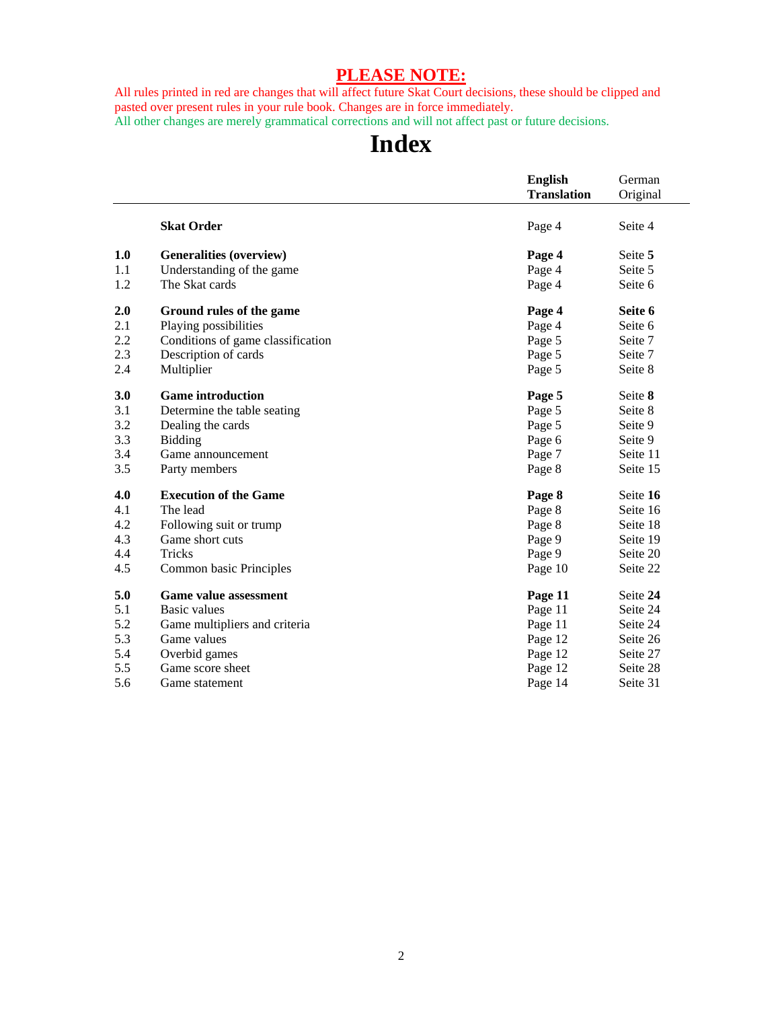## **PLEASE NOTE:**

All rules printed in red are changes that will affect future Skat Court decisions, these should be clipped and pasted over present rules in your rule book. Changes are in force immediately.

All other changes are merely grammatical corrections and will not affect past or future decisions.

## **Index**

|     |                                   | <b>English</b>     | German   |
|-----|-----------------------------------|--------------------|----------|
|     |                                   | <b>Translation</b> | Original |
|     |                                   |                    |          |
|     | <b>Skat Order</b>                 | Page 4             | Seite 4  |
| 1.0 | <b>Generalities (overview)</b>    | Page 4             | Seite 5  |
| 1.1 | Understanding of the game         | Page 4             | Seite 5  |
| 1.2 | The Skat cards                    | Page 4             | Seite 6  |
| 2.0 | Ground rules of the game          | Page 4             | Seite 6  |
| 2.1 | Playing possibilities             | Page 4             | Seite 6  |
| 2.2 | Conditions of game classification | Page 5             | Seite 7  |
| 2.3 | Description of cards              | Page 5             | Seite 7  |
| 2.4 | Multiplier                        | Page 5             | Seite 8  |
| 3.0 | <b>Game introduction</b>          | Page 5             | Seite 8  |
| 3.1 | Determine the table seating       | Page 5             | Seite 8  |
| 3.2 | Dealing the cards                 | Page 5             | Seite 9  |
| 3.3 | Bidding                           | Page 6             | Seite 9  |
| 3.4 | Game announcement                 | Page 7             | Seite 11 |
| 3.5 | Party members                     | Page 8             | Seite 15 |
| 4.0 | <b>Execution of the Game</b>      | Page 8             | Seite 16 |
| 4.1 | The lead                          | Page 8             | Seite 16 |
| 4.2 | Following suit or trump           | Page 8             | Seite 18 |
| 4.3 | Game short cuts                   | Page 9             | Seite 19 |
| 4.4 | <b>Tricks</b>                     | Page 9             | Seite 20 |
| 4.5 | Common basic Principles           | Page 10            | Seite 22 |
| 5.0 | <b>Game value assessment</b>      | Page 11            | Seite 24 |
| 5.1 | Basic values                      | Page 11            | Seite 24 |
| 5.2 | Game multipliers and criteria     | Page 11            | Seite 24 |
| 5.3 | Game values                       | Page 12            | Seite 26 |
| 5.4 | Overbid games                     | Page 12            | Seite 27 |
| 5.5 | Game score sheet                  | Page 12            | Seite 28 |
| 5.6 | Game statement                    | Page 14            | Seite 31 |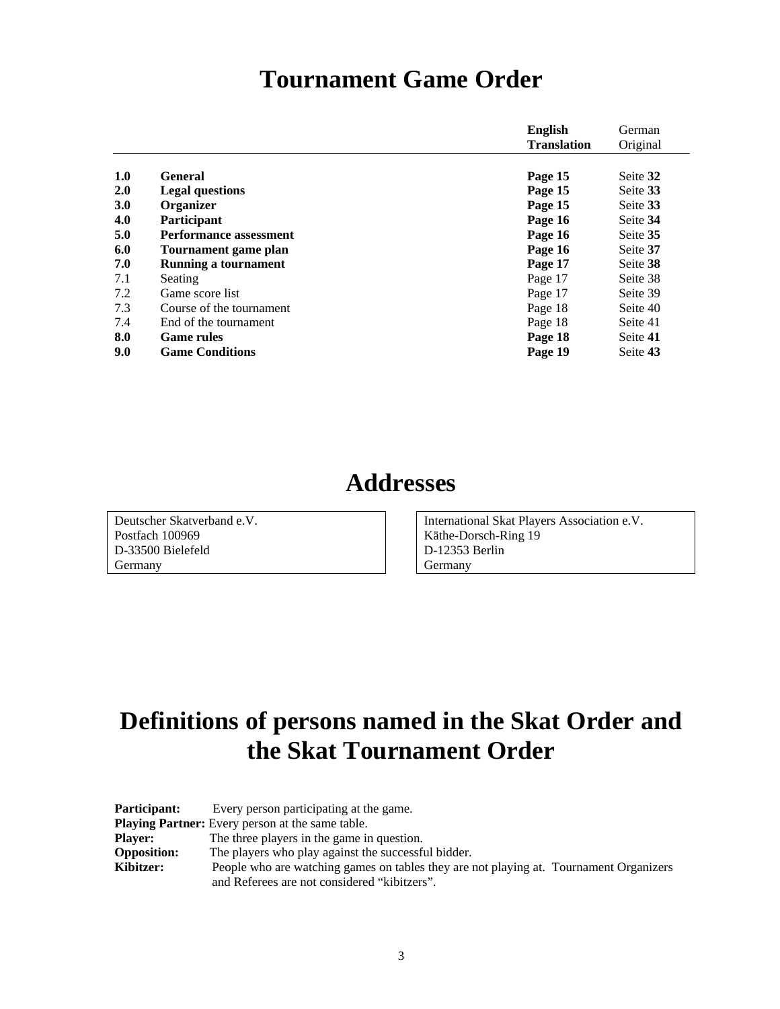## **Tournament Game Order**

|            |                               | <b>English</b>     | German   |
|------------|-------------------------------|--------------------|----------|
|            |                               | <b>Translation</b> | Original |
|            |                               |                    |          |
| 1.0        | <b>General</b>                | Page 15            | Seite 32 |
| 2.0        | <b>Legal questions</b>        | Page 15            | Seite 33 |
| <b>3.0</b> | Organizer                     | Page 15            | Seite 33 |
| 4.0        | Participant                   | Page 16            | Seite 34 |
| 5.0        | <b>Performance assessment</b> | Page 16            | Seite 35 |
| 6.0        | Tournament game plan          | Page 16            | Seite 37 |
| 7.0        | Running a tournament          | Page 17            | Seite 38 |
| 7.1        | Seating                       | Page 17            | Seite 38 |
| 7.2        | Game score list               | Page 17            | Seite 39 |
| 7.3        | Course of the tournament      | Page 18            | Seite 40 |
| 7.4        | End of the tournament         | Page 18            | Seite 41 |
| 8.0        | <b>Game rules</b>             | Page 18            | Seite 41 |
| 9.0        | <b>Game Conditions</b>        | Page 19            | Seite 43 |

## **Addresses**

Deutscher Skatverband e.V. Postfach 100969 D-33500 Bielefeld Germany

International Skat Players Association e.V. Käthe-Dorsch-Ring 19 D-12353 Berlin Germany

## **Definitions of persons named in the Skat Order and the Skat Tournament Order**

| <b>Participant:</b> | Every person participating at the game.                                                |
|---------------------|----------------------------------------------------------------------------------------|
|                     | <b>Playing Partner:</b> Every person at the same table.                                |
| <b>Plaver:</b>      | The three players in the game in question.                                             |
| <b>Opposition:</b>  | The players who play against the successful bidder.                                    |
| Kibitzer:           | People who are watching games on tables they are not playing at. Tournament Organizers |
|                     | and Referees are not considered "kibitzers".                                           |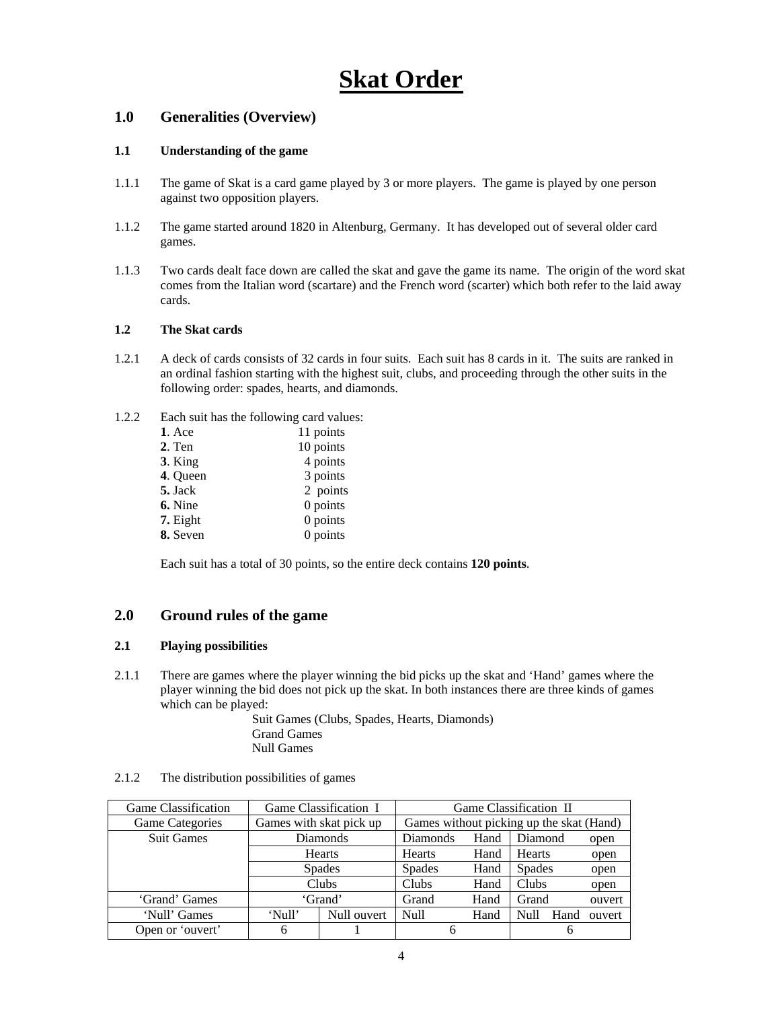## **Skat Order**

## **1.0 Generalities (Overview)**

## **1.1 Understanding of the game**

- 1.1.1 The game of Skat is a card game played by 3 or more players. The game is played by one person against two opposition players.
- 1.1.2 The game started around 1820 in Altenburg, Germany. It has developed out of several older card games.
- 1.1.3 Two cards dealt face down are called the skat and gave the game its name. The origin of the word skat comes from the Italian word (scartare) and the French word (scarter) which both refer to the laid away cards.

## **1.2 The Skat cards**

- 1.2.1 A deck of cards consists of 32 cards in four suits. Each suit has 8 cards in it. The suits are ranked in an ordinal fashion starting with the highest suit, clubs, and proceeding through the other suits in the following order: spades, hearts, and diamonds.
- 1.2.2 Each suit has the following card values:

| $1.$ Ace  | 11 points  |
|-----------|------------|
| 2. Ten    | 10 points  |
| $3.$ King | 4 points   |
| 4. Queen  | 3 points   |
| 5. Jack   | 2 points   |
| 6. Nine   | $0$ points |
| 7. Eight  | 0 points   |
| 8. Seven  | 0 points   |

Each suit has a total of 30 points, so the entire deck contains **120 points**.

## **2.0 Ground rules of the game**

#### **2.1 Playing possibilities**

2.1.1 There are games where the player winning the bid picks up the skat and 'Hand' games where the player winning the bid does not pick up the skat. In both instances there are three kinds of games which can be played:

> Suit Games (Clubs, Spades, Hearts, Diamonds) Grand Games Null Games

| <b>Game Classification</b> | Game Classification I   |                         |               | Game Classification II                   |               |      |        |
|----------------------------|-------------------------|-------------------------|---------------|------------------------------------------|---------------|------|--------|
| <b>Game Categories</b>     | Games with skat pick up |                         |               | Games without picking up the skat (Hand) |               |      |        |
| <b>Suit Games</b>          |                         | Diamonds<br>Diamonds    |               | Hand                                     | Diamond       |      | open   |
|                            |                         | Hearts<br><b>Hearts</b> |               | Hand                                     | Hearts        |      | open   |
|                            |                         | <b>Spades</b>           | <b>Spades</b> | Hand                                     | <b>Spades</b> |      | open   |
|                            | Clubs                   |                         | Clubs         | Hand                                     | Clubs         |      | open   |
| 'Grand' Games              | 'Grand'                 |                         | Grand         | Hand                                     | Grand         |      | ouvert |
| 'Null' Games               | 'Null'                  | Null ouvert             | Null          | Hand                                     | <b>Null</b>   | Hand | ouvert |
| Open or 'ouvert'           | 6                       |                         |               |                                          |               | h    |        |

2.1.2 The distribution possibilities of games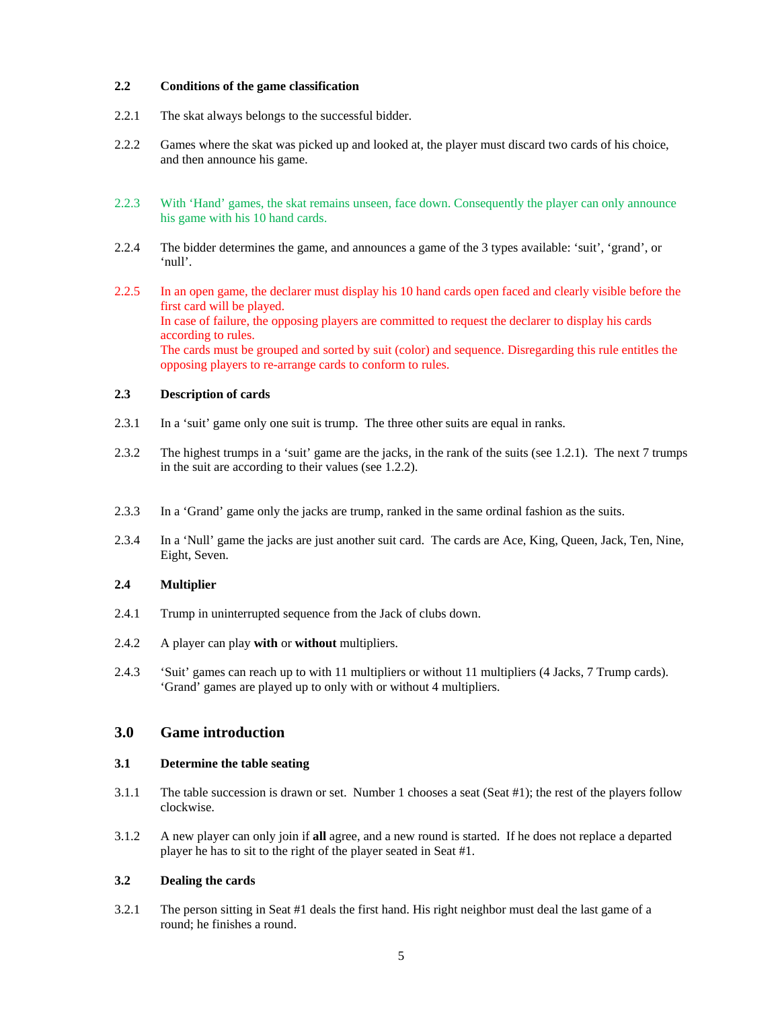#### **2.2 Conditions of the game classification**

- 2.2.1 The skat always belongs to the successful bidder.
- 2.2.2 Games where the skat was picked up and looked at, the player must discard two cards of his choice, and then announce his game.
- 2.2.3 With 'Hand' games, the skat remains unseen, face down. Consequently the player can only announce his game with his 10 hand cards.
- 2.2.4 The bidder determines the game, and announces a game of the 3 types available: 'suit', 'grand', or 'null'.
- 2.2.5 In an open game, the declarer must display his 10 hand cards open faced and clearly visible before the first card will be played. In case of failure, the opposing players are committed to request the declarer to display his cards according to rules. The cards must be grouped and sorted by suit (color) and sequence. Disregarding this rule entitles the opposing players to re-arrange cards to conform to rules.

#### **2.3 Description of cards**

- 2.3.1 In a 'suit' game only one suit is trump. The three other suits are equal in ranks.
- 2.3.2 The highest trumps in a 'suit' game are the jacks, in the rank of the suits (see 1.2.1). The next 7 trumps in the suit are according to their values (see 1.2.2).
- 2.3.3 In a 'Grand' game only the jacks are trump, ranked in the same ordinal fashion as the suits.
- 2.3.4 In a 'Null' game the jacks are just another suit card. The cards are Ace, King, Queen, Jack, Ten, Nine, Eight, Seven.

#### **2.4 Multiplier**

- 2.4.1 Trump in uninterrupted sequence from the Jack of clubs down.
- 2.4.2 A player can play **with** or **without** multipliers.
- 2.4.3 'Suit' games can reach up to with 11 multipliers or without 11 multipliers (4 Jacks, 7 Trump cards). 'Grand' games are played up to only with or without 4 multipliers.

#### **3.0 Game introduction**

#### **3.1 Determine the table seating**

- 3.1.1 The table succession is drawn or set. Number 1 chooses a seat (Seat #1); the rest of the players follow clockwise.
- 3.1.2 A new player can only join if **all** agree, and a new round is started. If he does not replace a departed player he has to sit to the right of the player seated in Seat #1.

#### **3.2 Dealing the cards**

3.2.1 The person sitting in Seat #1 deals the first hand. His right neighbor must deal the last game of a round; he finishes a round.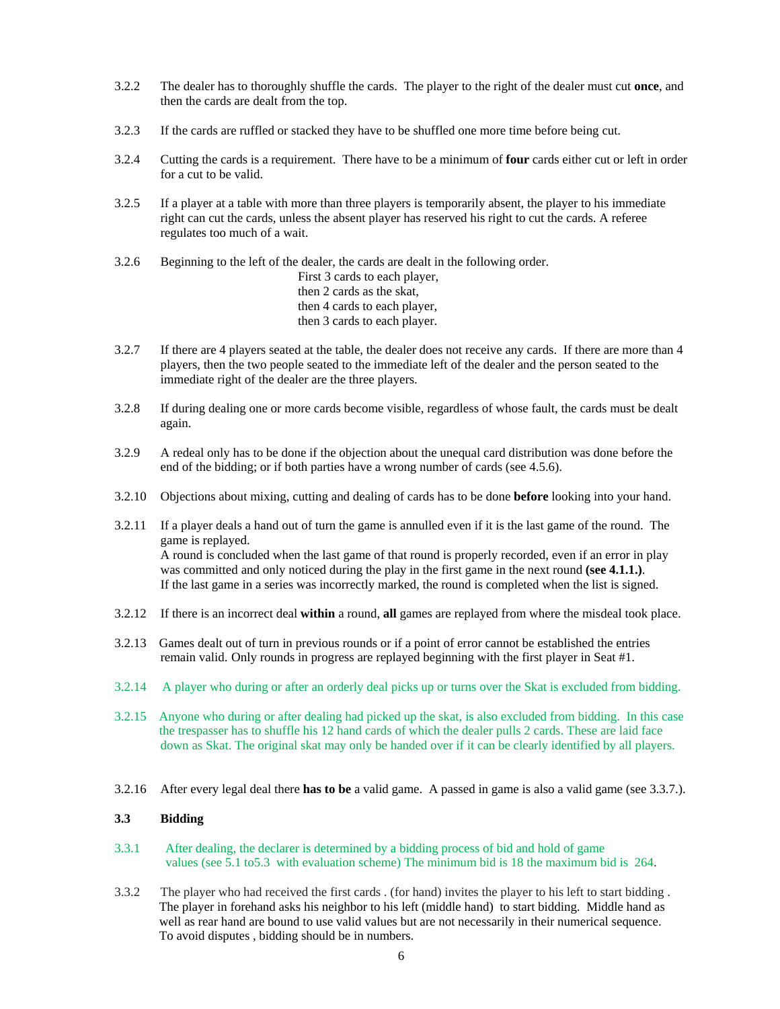- 3.2.2 The dealer has to thoroughly shuffle the cards. The player to the right of the dealer must cut **once**, and then the cards are dealt from the top.
- 3.2.3 If the cards are ruffled or stacked they have to be shuffled one more time before being cut.
- 3.2.4 Cutting the cards is a requirement. There have to be a minimum of **four** cards either cut or left in order for a cut to be valid.
- 3.2.5 If a player at a table with more than three players is temporarily absent, the player to his immediate right can cut the cards, unless the absent player has reserved his right to cut the cards. A referee regulates too much of a wait.

3.2.6 Beginning to the left of the dealer, the cards are dealt in the following order.

 First 3 cards to each player, then 2 cards as the skat, then 4 cards to each player, then 3 cards to each player.

- 3.2.7 If there are 4 players seated at the table, the dealer does not receive any cards. If there are more than 4 players, then the two people seated to the immediate left of the dealer and the person seated to the immediate right of the dealer are the three players.
- 3.2.8 If during dealing one or more cards become visible, regardless of whose fault, the cards must be dealt again.
- 3.2.9 A redeal only has to be done if the objection about the unequal card distribution was done before the end of the bidding; or if both parties have a wrong number of cards (see 4.5.6).
- 3.2.10 Objections about mixing, cutting and dealing of cards has to be done **before** looking into your hand.
- 3.2.11 If a player deals a hand out of turn the game is annulled even if it is the last game of the round. The game is replayed. A round is concluded when the last game of that round is properly recorded, even if an error in play was committed and only noticed during the play in the first game in the next round **(see 4.1.1.)**. If the last game in a series was incorrectly marked, the round is completed when the list is signed.
- 3.2.12 If there is an incorrect deal **within** a round, **all** games are replayed from where the misdeal took place.
- 3.2.13 Games dealt out of turn in previous rounds or if a point of error cannot be established the entries remain valid. Only rounds in progress are replayed beginning with the first player in Seat #1.
- 3.2.14 A player who during or after an orderly deal picks up or turns over the Skat is excluded from bidding.
- 3.2.15 Anyone who during or after dealing had picked up the skat, is also excluded from bidding. In this case the trespasser has to shuffle his 12 hand cards of which the dealer pulls 2 cards. These are laid face down as Skat. The original skat may only be handed over if it can be clearly identified by all players.
- 3.2.16 After every legal deal there **has to be** a valid game. A passed in game is also a valid game (see 3.3.7.).

## **3.3 Bidding**

- 3.3.1 After dealing, the declarer is determined by a bidding process of bid and hold of game values (see 5.1 to5.3 with evaluation scheme) The minimum bid is 18 the maximum bid is 264.
- 3.3.2 The player who had received the first cards . (for hand) invites the player to his left to start bidding . The player in forehand asks his neighbor to his left (middle hand) to start bidding. Middle hand as well as rear hand are bound to use valid values but are not necessarily in their numerical sequence. To avoid disputes , bidding should be in numbers.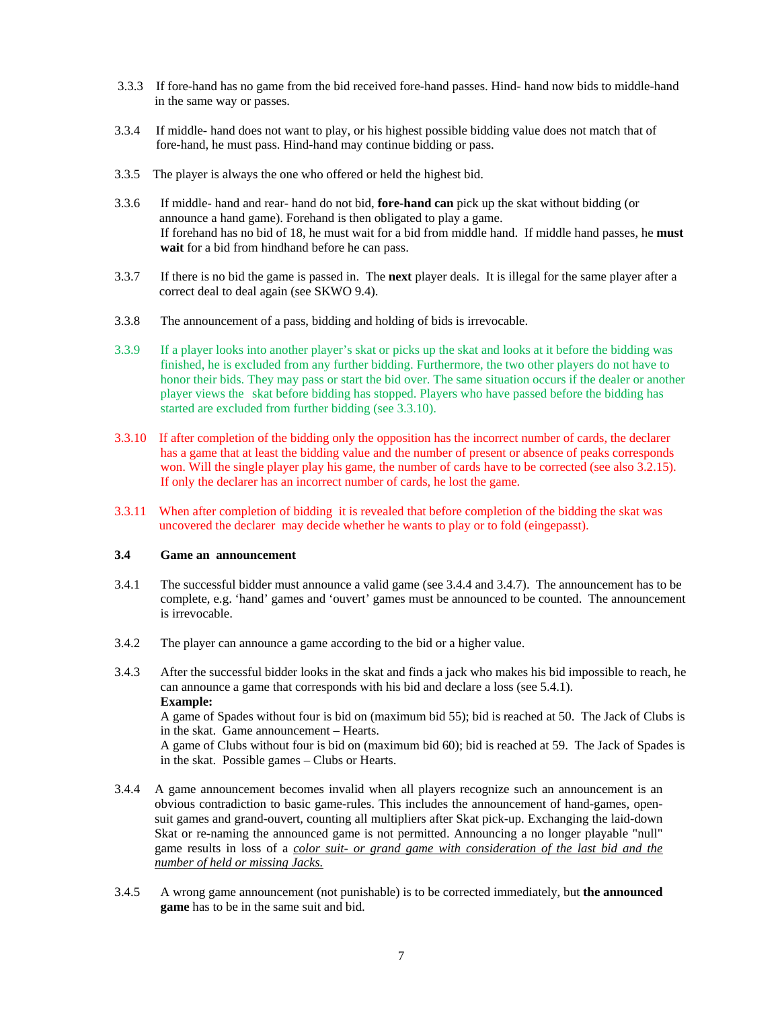- 3.3.3 If fore-hand has no game from the bid received fore-hand passes. Hind- hand now bids to middle-hand in the same way or passes.
- 3.3.4 If middle- hand does not want to play, or his highest possible bidding value does not match that of fore-hand, he must pass. Hind-hand may continue bidding or pass.
- 3.3.5 The player is always the one who offered or held the highest bid.
- 3.3.6 If middle- hand and rear- hand do not bid, **fore-hand can** pick up the skat without bidding (or announce a hand game). Forehand is then obligated to play a game. If forehand has no bid of 18, he must wait for a bid from middle hand. If middle hand passes, he **must wait** for a bid from hindhand before he can pass.
- 3.3.7 If there is no bid the game is passed in. The **next** player deals. It is illegal for the same player after a correct deal to deal again (see SKWO 9.4).
- 3.3.8 The announcement of a pass, bidding and holding of bids is irrevocable.
- 3.3.9 If a player looks into another player's skat or picks up the skat and looks at it before the bidding was finished, he is excluded from any further bidding. Furthermore, the two other players do not have to honor their bids. They may pass or start the bid over. The same situation occurs if the dealer or another player views the skat before bidding has stopped. Players who have passed before the bidding has started are excluded from further bidding (see 3.3.10).
- 3.3.10 If after completion of the bidding only the opposition has the incorrect number of cards, the declarer has a game that at least the bidding value and the number of present or absence of peaks corresponds won. Will the single player play his game, the number of cards have to be corrected (see also 3.2.15). If only the declarer has an incorrect number of cards, he lost the game.
- 3.3.11 When after completion of bidding it is revealed that before completion of the bidding the skat was uncovered the declarer may decide whether he wants to play or to fold (eingepasst).

#### **3.4 Game an announcement**

- 3.4.1 The successful bidder must announce a valid game (see 3.4.4 and 3.4.7). The announcement has to be complete, e.g. 'hand' games and 'ouvert' games must be announced to be counted. The announcement is irrevocable.
- 3.4.2 The player can announce a game according to the bid or a higher value.
- 3.4.3 After the successful bidder looks in the skat and finds a jack who makes his bid impossible to reach, he can announce a game that corresponds with his bid and declare a loss (see 5.4.1). **Example:**  A game of Spades without four is bid on (maximum bid 55); bid is reached at 50. The Jack of Clubs is

in the skat. Game announcement – Hearts. A game of Clubs without four is bid on (maximum bid 60); bid is reached at 59. The Jack of Spades is

in the skat. Possible games – Clubs or Hearts.

- 3.4.4 A game announcement becomes invalid when all players recognize such an announcement is an obvious contradiction to basic game-rules. This includes the announcement of hand-games, opensuit games and grand-ouvert, counting all multipliers after Skat pick-up. Exchanging the laid-down Skat or re-naming the announced game is not permitted. Announcing a no longer playable "null" game results in loss of a *color suit- or grand game with consideration of the last bid and the number of held or missing Jacks.*
- 3.4.5 A wrong game announcement (not punishable) is to be corrected immediately, but **the announced game** has to be in the same suit and bid.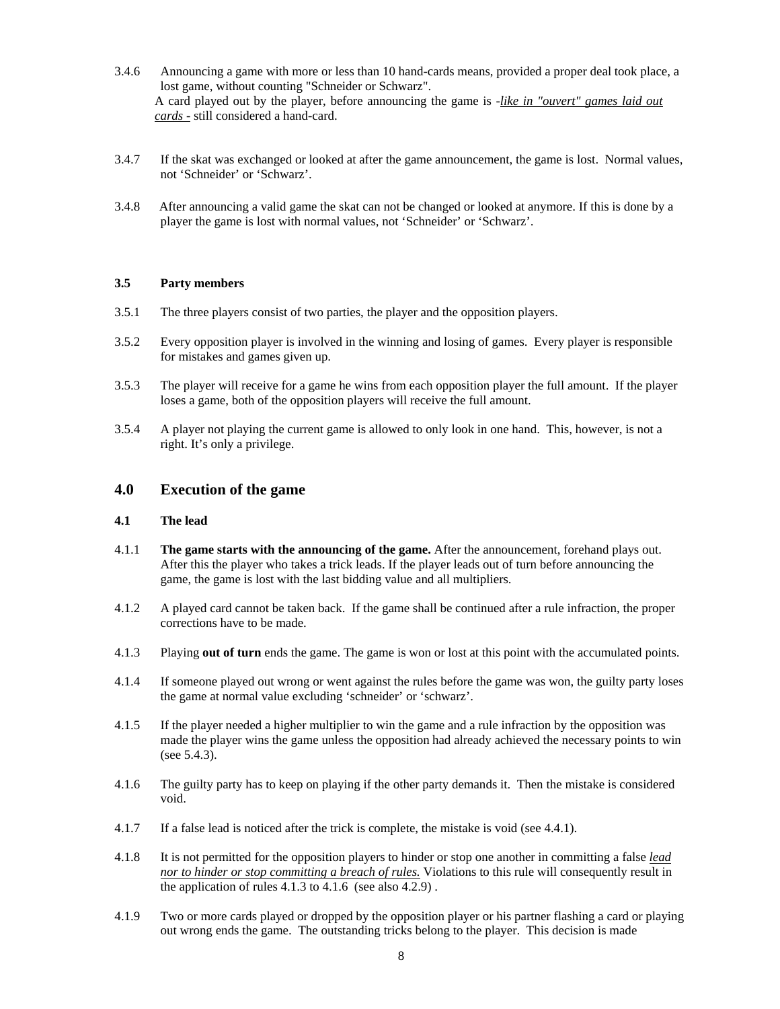- 3.4.6 Announcing a game with more or less than 10 hand-cards means, provided a proper deal took place, a lost game, without counting "Schneider or Schwarz". A card played out by the player, before announcing the game is -*like in "ouvert" games laid out cards -* still considered a hand-card.
- 3.4.7 If the skat was exchanged or looked at after the game announcement, the game is lost. Normal values, not 'Schneider' or 'Schwarz'.
- 3.4.8 After announcing a valid game the skat can not be changed or looked at anymore. If this is done by a player the game is lost with normal values, not 'Schneider' or 'Schwarz'.

#### **3.5 Party members**

- 3.5.1 The three players consist of two parties, the player and the opposition players.
- 3.5.2 Every opposition player is involved in the winning and losing of games. Every player is responsible for mistakes and games given up.
- 3.5.3 The player will receive for a game he wins from each opposition player the full amount. If the player loses a game, both of the opposition players will receive the full amount.
- 3.5.4 A player not playing the current game is allowed to only look in one hand. This, however, is not a right. It's only a privilege.

#### **4.0 Execution of the game**

#### **4.1 The lead**

- 4.1.1 **The game starts with the announcing of the game.** After the announcement, forehand plays out. After this the player who takes a trick leads. If the player leads out of turn before announcing the game, the game is lost with the last bidding value and all multipliers.
- 4.1.2 A played card cannot be taken back. If the game shall be continued after a rule infraction, the proper corrections have to be made.
- 4.1.3 Playing **out of turn** ends the game. The game is won or lost at this point with the accumulated points.
- 4.1.4 If someone played out wrong or went against the rules before the game was won, the guilty party loses the game at normal value excluding 'schneider' or 'schwarz'.
- 4.1.5 If the player needed a higher multiplier to win the game and a rule infraction by the opposition was made the player wins the game unless the opposition had already achieved the necessary points to win (see 5.4.3).
- 4.1.6 The guilty party has to keep on playing if the other party demands it. Then the mistake is considered void.
- 4.1.7 If a false lead is noticed after the trick is complete, the mistake is void (see 4.4.1).
- 4.1.8 It is not permitted for the opposition players to hinder or stop one another in committing a false *lead nor to hinder or stop committing a breach of rules.* Violations to this rule will consequently result in the application of rules 4.1.3 to 4.1.6 (see also 4.2.9) .
- 4.1.9 Two or more cards played or dropped by the opposition player or his partner flashing a card or playing out wrong ends the game. The outstanding tricks belong to the player. This decision is made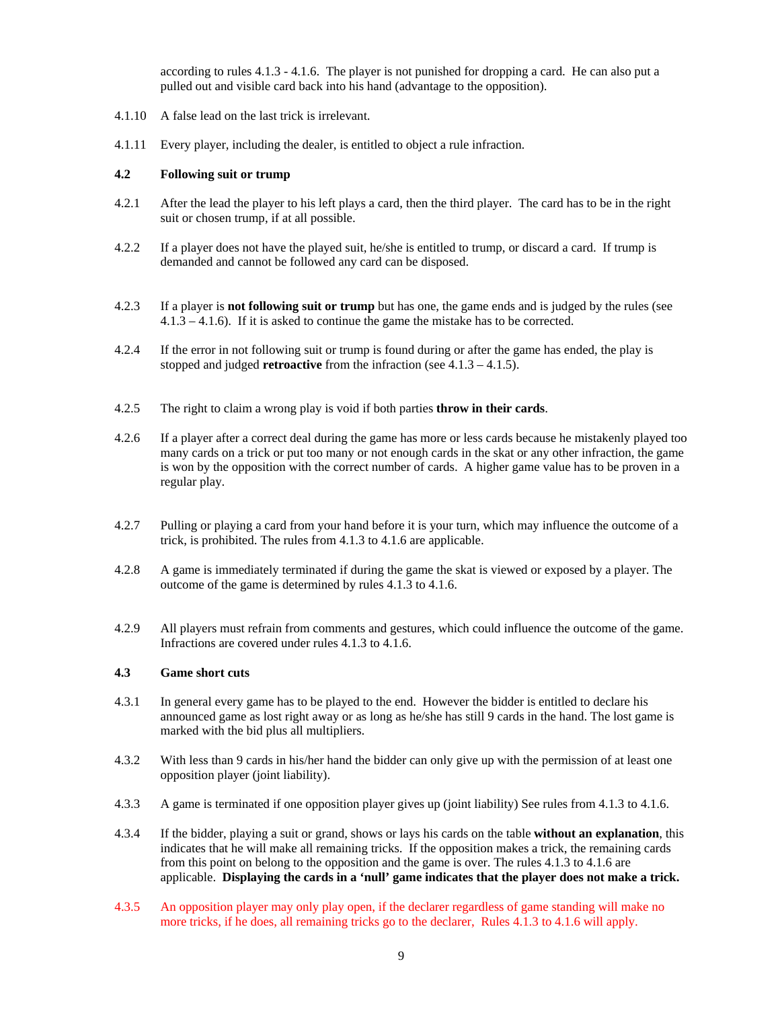according to rules 4.1.3 - 4.1.6. The player is not punished for dropping a card. He can also put a pulled out and visible card back into his hand (advantage to the opposition).

- 4.1.10 A false lead on the last trick is irrelevant.
- 4.1.11 Every player, including the dealer, is entitled to object a rule infraction.

#### **4.2 Following suit or trump**

- 4.2.1 After the lead the player to his left plays a card, then the third player. The card has to be in the right suit or chosen trump, if at all possible.
- 4.2.2 If a player does not have the played suit, he/she is entitled to trump, or discard a card. If trump is demanded and cannot be followed any card can be disposed.
- 4.2.3 If a player is **not following suit or trump** but has one, the game ends and is judged by the rules (see 4.1.3 – 4.1.6). If it is asked to continue the game the mistake has to be corrected.
- 4.2.4 If the error in not following suit or trump is found during or after the game has ended, the play is stopped and judged **retroactive** from the infraction (see 4.1.3 – 4.1.5).
- 4.2.5 The right to claim a wrong play is void if both parties **throw in their cards**.
- 4.2.6 If a player after a correct deal during the game has more or less cards because he mistakenly played too many cards on a trick or put too many or not enough cards in the skat or any other infraction, the game is won by the opposition with the correct number of cards. A higher game value has to be proven in a regular play.
- 4.2.7 Pulling or playing a card from your hand before it is your turn, which may influence the outcome of a trick, is prohibited. The rules from 4.1.3 to 4.1.6 are applicable.
- 4.2.8 A game is immediately terminated if during the game the skat is viewed or exposed by a player. The outcome of the game is determined by rules 4.1.3 to 4.1.6.
- 4.2.9 All players must refrain from comments and gestures, which could influence the outcome of the game. Infractions are covered under rules 4.1.3 to 4.1.6.

## **4.3 Game short cuts**

- 4.3.1 In general every game has to be played to the end. However the bidder is entitled to declare his announced game as lost right away or as long as he/she has still 9 cards in the hand. The lost game is marked with the bid plus all multipliers.
- 4.3.2 With less than 9 cards in his/her hand the bidder can only give up with the permission of at least one opposition player (joint liability).
- 4.3.3 A game is terminated if one opposition player gives up (joint liability) See rules from 4.1.3 to 4.1.6.
- 4.3.4 If the bidder, playing a suit or grand, shows or lays his cards on the table **without an explanation**, this indicates that he will make all remaining tricks. If the opposition makes a trick, the remaining cards from this point on belong to the opposition and the game is over. The rules 4.1.3 to 4.1.6 are applicable. **Displaying the cards in a 'null' game indicates that the player does not make a trick.**
- 4.3.5 An opposition player may only play open, if the declarer regardless of game standing will make no more tricks, if he does, all remaining tricks go to the declarer, Rules 4.1.3 to 4.1.6 will apply.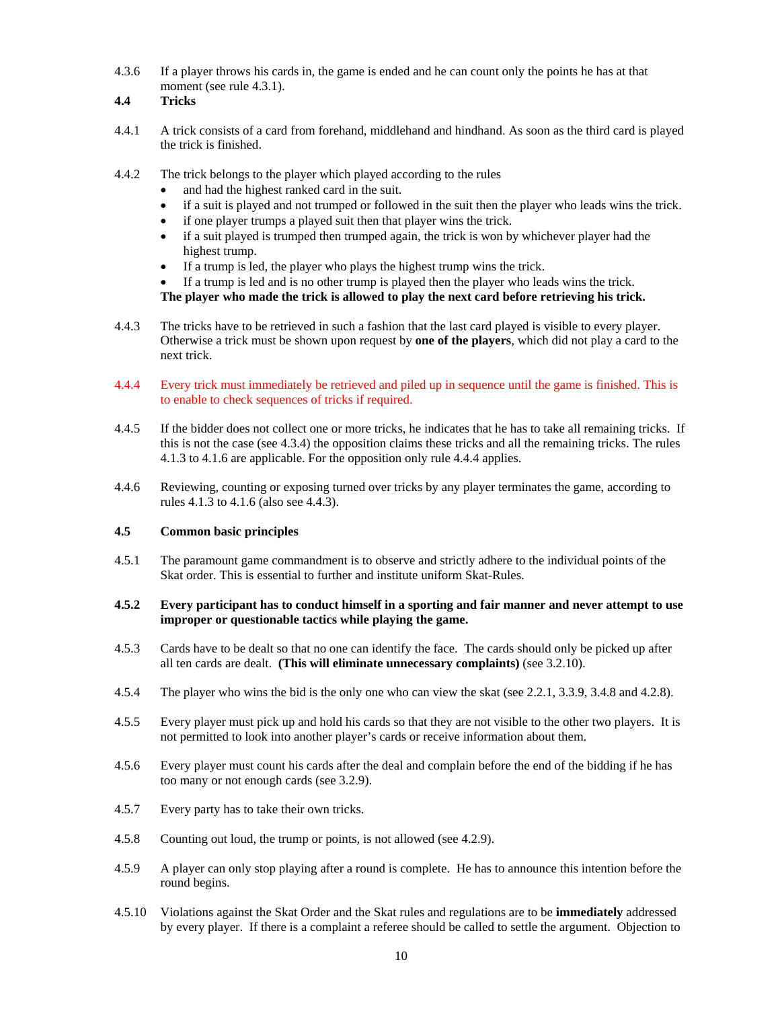4.3.6 If a player throws his cards in, the game is ended and he can count only the points he has at that moment (see rule 4.3.1).

#### **4.4 Tricks**

- 4.4.1 A trick consists of a card from forehand, middlehand and hindhand. As soon as the third card is played the trick is finished.
- 4.4.2 The trick belongs to the player which played according to the rules
	- and had the highest ranked card in the suit.
	- if a suit is played and not trumped or followed in the suit then the player who leads wins the trick.
	- if one player trumps a played suit then that player wins the trick.
	- if a suit played is trumped then trumped again, the trick is won by whichever player had the highest trump.
	- If a trump is led, the player who plays the highest trump wins the trick.
	- If a trump is led and is no other trump is played then the player who leads wins the trick.

**The player who made the trick is allowed to play the next card before retrieving his trick.** 

- 4.4.3 The tricks have to be retrieved in such a fashion that the last card played is visible to every player. Otherwise a trick must be shown upon request by **one of the players**, which did not play a card to the next trick.
- 4.4.4 Every trick must immediately be retrieved and piled up in sequence until the game is finished. This is to enable to check sequences of tricks if required.
- 4.4.5 If the bidder does not collect one or more tricks, he indicates that he has to take all remaining tricks. If this is not the case (see 4.3.4) the opposition claims these tricks and all the remaining tricks. The rules 4.1.3 to 4.1.6 are applicable. For the opposition only rule 4.4.4 applies.
- 4.4.6 Reviewing, counting or exposing turned over tricks by any player terminates the game, according to rules 4.1.3 to 4.1.6 (also see 4.4.3).

#### **4.5 Common basic principles**

4.5.1 The paramount game commandment is to observe and strictly adhere to the individual points of the Skat order. This is essential to further and institute uniform Skat-Rules.

#### **4.5.2 Every participant has to conduct himself in a sporting and fair manner and never attempt to use improper or questionable tactics while playing the game.**

- 4.5.3 Cards have to be dealt so that no one can identify the face. The cards should only be picked up after all ten cards are dealt. **(This will eliminate unnecessary complaints)** (see 3.2.10).
- 4.5.4 The player who wins the bid is the only one who can view the skat (see 2.2.1, 3.3.9, 3.4.8 and 4.2.8).
- 4.5.5 Every player must pick up and hold his cards so that they are not visible to the other two players. It is not permitted to look into another player's cards or receive information about them.
- 4.5.6 Every player must count his cards after the deal and complain before the end of the bidding if he has too many or not enough cards (see 3.2.9).
- 4.5.7 Every party has to take their own tricks.
- 4.5.8 Counting out loud, the trump or points, is not allowed (see 4.2.9).
- 4.5.9 A player can only stop playing after a round is complete. He has to announce this intention before the round begins.
- 4.5.10 Violations against the Skat Order and the Skat rules and regulations are to be **immediately** addressed by every player. If there is a complaint a referee should be called to settle the argument. Objection to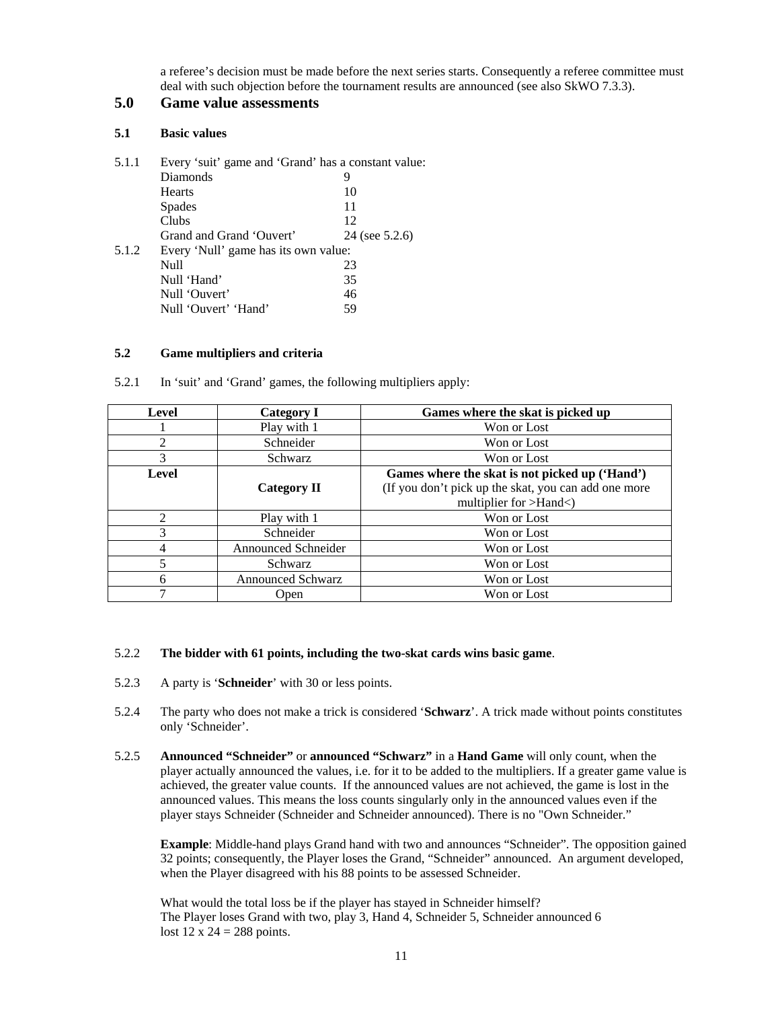a referee's decision must be made before the next series starts. Consequently a referee committee must deal with such objection before the tournament results are announced (see also SkWO 7.3.3).

## **5.0 Game value assessments**

## **5.1 Basic values**

| 5.1.1 | Every 'suit' game and 'Grand' has a constant value: |                |
|-------|-----------------------------------------------------|----------------|
|       | Diamonds                                            | 9              |
|       | Hearts                                              | 10             |
|       | <b>Spades</b>                                       | 11             |
|       | Clubs                                               | 12             |
|       | Grand and Grand 'Ouvert'                            | 24 (see 5.2.6) |
| 5.1.2 | Every 'Null' game has its own value:                |                |
|       | Null                                                | 23             |
|       | Null 'Hand'                                         | 35             |
|       | Null 'Ouvert'                                       | 46             |
|       | Null 'Ouvert' 'Hand'                                | 59             |
|       |                                                     |                |

#### **5.2 Game multipliers and criteria**

| In 'suit' and 'Grand' games, the following multipliers apply: | 5.2.1 |
|---------------------------------------------------------------|-------|
|---------------------------------------------------------------|-------|

| Level          | <b>Category I</b>          | Games where the skat is picked up                    |
|----------------|----------------------------|------------------------------------------------------|
|                | Play with 1                | Won or Lost                                          |
| $\mathfrak{D}$ | Schneider                  | Won or Lost                                          |
| 3              | Schwarz                    | Won or Lost                                          |
| Level          |                            | Games where the skat is not picked up ('Hand')       |
|                | <b>Category II</b>         | (If you don't pick up the skat, you can add one more |
|                |                            | multiplier for >Hand<)                               |
| っ              | Play with 1                | Won or Lost                                          |
| 3              | Schneider                  | Won or Lost                                          |
|                | <b>Announced Schneider</b> | Won or Lost                                          |
|                | <b>Schwarz</b>             | Won or Lost                                          |
| 6              | <b>Announced Schwarz</b>   | Won or Lost                                          |
|                | Open                       | Won or Lost                                          |

#### 5.2.2 **The bidder with 61 points, including the two-skat cards wins basic game**.

- 5.2.3 A party is '**Schneider**' with 30 or less points.
- 5.2.4 The party who does not make a trick is considered '**Schwarz**'. A trick made without points constitutes only 'Schneider'.
- 5.2.5 **Announced "Schneider"** or **announced "Schwarz"** in a **Hand Game** will only count, when the player actually announced the values, i.e. for it to be added to the multipliers. If a greater game value is achieved, the greater value counts. If the announced values are not achieved, the game is lost in the announced values. This means the loss counts singularly only in the announced values even if the player stays Schneider (Schneider and Schneider announced). There is no "Own Schneider."

**Example**: Middle-hand plays Grand hand with two and announces "Schneider". The opposition gained 32 points; consequently, the Player loses the Grand, "Schneider" announced. An argument developed, when the Player disagreed with his 88 points to be assessed Schneider.

What would the total loss be if the player has stayed in Schneider himself? The Player loses Grand with two, play 3, Hand 4, Schneider 5, Schneider announced 6 lost  $12 \times 24 = 288$  points.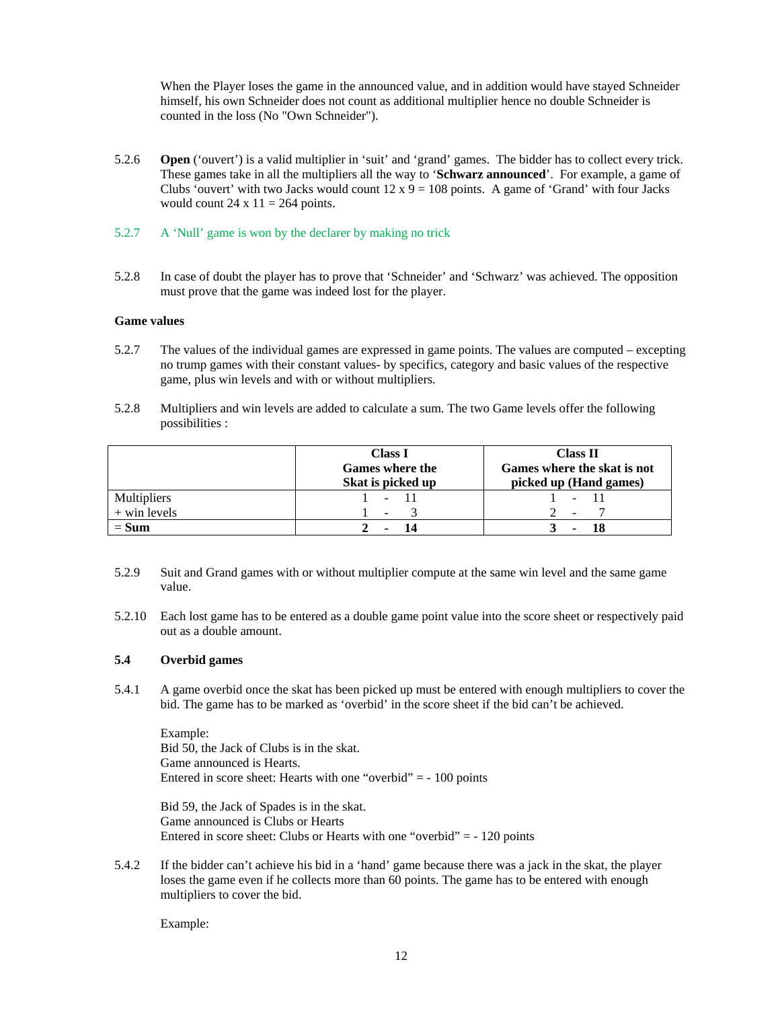When the Player loses the game in the announced value, and in addition would have stayed Schneider himself, his own Schneider does not count as additional multiplier hence no double Schneider is counted in the loss (No "Own Schneider").

- 5.2.6 **Open** ('ouvert') is a valid multiplier in 'suit' and 'grand' games. The bidder has to collect every trick. These games take in all the multipliers all the way to '**Schwarz announced**'. For example, a game of Clubs 'ouvert' with two Jacks would count  $12 \times 9 = 108$  points. A game of 'Grand' with four Jacks would count  $24 \times 11 = 264$  points.
- 5.2.7 A 'Null' game is won by the declarer by making no trick
- 5.2.8 In case of doubt the player has to prove that 'Schneider' and 'Schwarz' was achieved. The opposition must prove that the game was indeed lost for the player.

#### **Game values**

- 5.2.7 The values of the individual games are expressed in game points. The values are computed excepting no trump games with their constant values- by specifics, category and basic values of the respective game, plus win levels and with or without multipliers.
- 5.2.8 Multipliers and win levels are added to calculate a sum. The two Game levels offer the following possibilities :

|                    | <b>Class I</b><br><b>Games where the</b><br>Skat is picked up | <b>Class II</b><br>Games where the skat is not<br>picked up (Hand games) |
|--------------------|---------------------------------------------------------------|--------------------------------------------------------------------------|
| <b>Multipliers</b> | $\sim$                                                        | $\qquad \qquad \blacksquare$                                             |
| $+$ win levels     | $\sim$                                                        | $\overline{\phantom{a}}$                                                 |
| $= Sum$            |                                                               |                                                                          |

- 5.2.9 Suit and Grand games with or without multiplier compute at the same win level and the same game value.
- 5.2.10 Each lost game has to be entered as a double game point value into the score sheet or respectively paid out as a double amount.

#### **5.4 Overbid games**

5.4.1 A game overbid once the skat has been picked up must be entered with enough multipliers to cover the bid. The game has to be marked as 'overbid' in the score sheet if the bid can't be achieved.

Example: Bid 50, the Jack of Clubs is in the skat. Game announced is Hearts. Entered in score sheet: Hearts with one "overbid" = - 100 points

Bid 59, the Jack of Spades is in the skat. Game announced is Clubs or Hearts Entered in score sheet: Clubs or Hearts with one "overbid"  $= -120$  points

5.4.2 If the bidder can't achieve his bid in a 'hand' game because there was a jack in the skat, the player loses the game even if he collects more than 60 points. The game has to be entered with enough multipliers to cover the bid.

Example: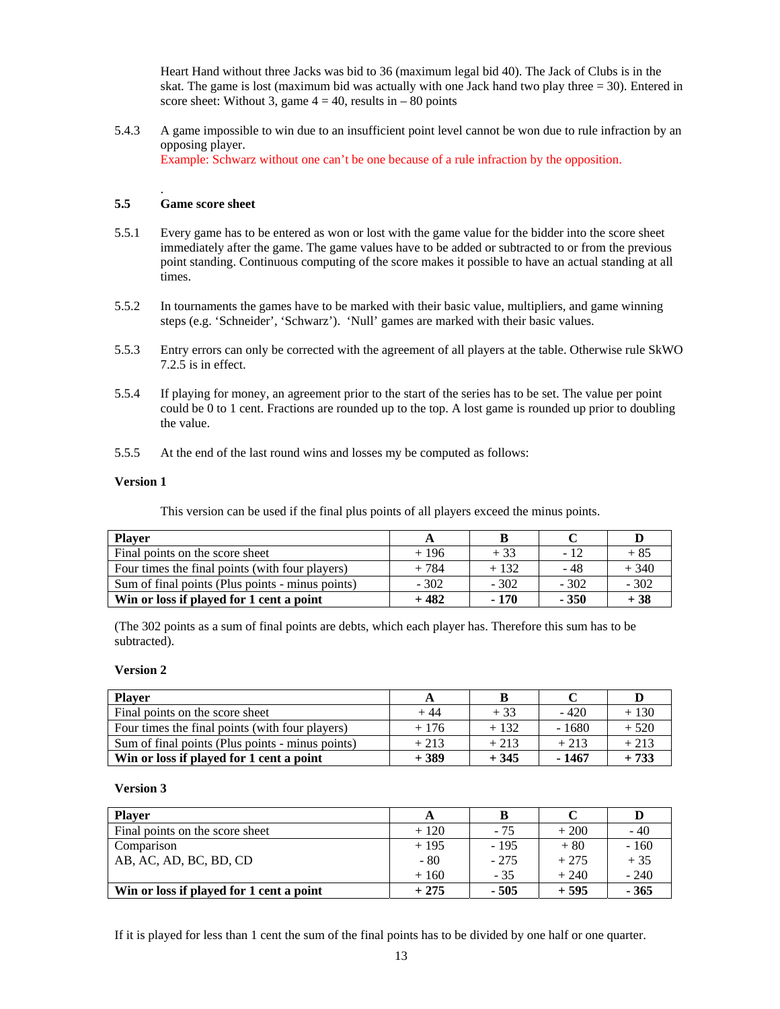Heart Hand without three Jacks was bid to 36 (maximum legal bid 40). The Jack of Clubs is in the skat. The game is lost (maximum bid was actually with one Jack hand two play three  $= 30$ ). Entered in score sheet: Without 3, game  $4 = 40$ , results in  $-80$  points

5.4.3 A game impossible to win due to an insufficient point level cannot be won due to rule infraction by an opposing player. Example: Schwarz without one can't be one because of a rule infraction by the opposition.

## **5.5 Game score sheet**

.

- 5.5.1 Every game has to be entered as won or lost with the game value for the bidder into the score sheet immediately after the game. The game values have to be added or subtracted to or from the previous point standing. Continuous computing of the score makes it possible to have an actual standing at all times.
- 5.5.2 In tournaments the games have to be marked with their basic value, multipliers, and game winning steps (e.g. 'Schneider', 'Schwarz'). 'Null' games are marked with their basic values.
- 5.5.3 Entry errors can only be corrected with the agreement of all players at the table. Otherwise rule SkWO 7.2.5 is in effect.
- 5.5.4 If playing for money, an agreement prior to the start of the series has to be set. The value per point could be 0 to 1 cent. Fractions are rounded up to the top. A lost game is rounded up prior to doubling the value.
- 5.5.5 At the end of the last round wins and losses my be computed as follows:

#### **Version 1**

This version can be used if the final plus points of all players exceed the minus points.

| <b>Player</b>                                    |        |        |        |        |
|--------------------------------------------------|--------|--------|--------|--------|
| Final points on the score sheet                  | $+196$ | $+33$  | - 12   | $+85$  |
| Four times the final points (with four players)  | $+784$ | $+132$ | - 48   | $+340$ |
| Sum of final points (Plus points - minus points) | $-302$ | $-302$ | $-302$ | $-302$ |
| Win or loss if played for 1 cent a point         | + 482  | $-170$ | $-350$ | $+38$  |

(The 302 points as a sum of final points are debts, which each player has. Therefore this sum has to be subtracted).

#### **Version 2**

| <b>Player</b>                                    | A      |        |         |        |
|--------------------------------------------------|--------|--------|---------|--------|
| Final points on the score sheet                  | $+44$  | $+33$  | $-420$  | $+130$ |
| Four times the final points (with four players)  | $+176$ | $+132$ | $-1680$ | $+520$ |
| Sum of final points (Plus points - minus points) | $+213$ | $+213$ | $+213$  | $+213$ |
| Win or loss if played for 1 cent a point         | $+389$ | $+345$ | - 1467  | $+733$ |

#### **Version 3**

| <b>Player</b>                            | A      |        |        | D      |
|------------------------------------------|--------|--------|--------|--------|
| Final points on the score sheet          | $+120$ | $-75$  | $+200$ | $-40$  |
| Comparison                               | $+195$ | $-195$ | $+80$  | $-160$ |
| AB, AC, AD, BC, BD, CD                   | - 80   | $-275$ | $+275$ | $+35$  |
|                                          | $+160$ | $-35$  | $+240$ | $-240$ |
| Win or loss if played for 1 cent a point | $+275$ | $-505$ | $+595$ | $-365$ |

If it is played for less than 1 cent the sum of the final points has to be divided by one half or one quarter.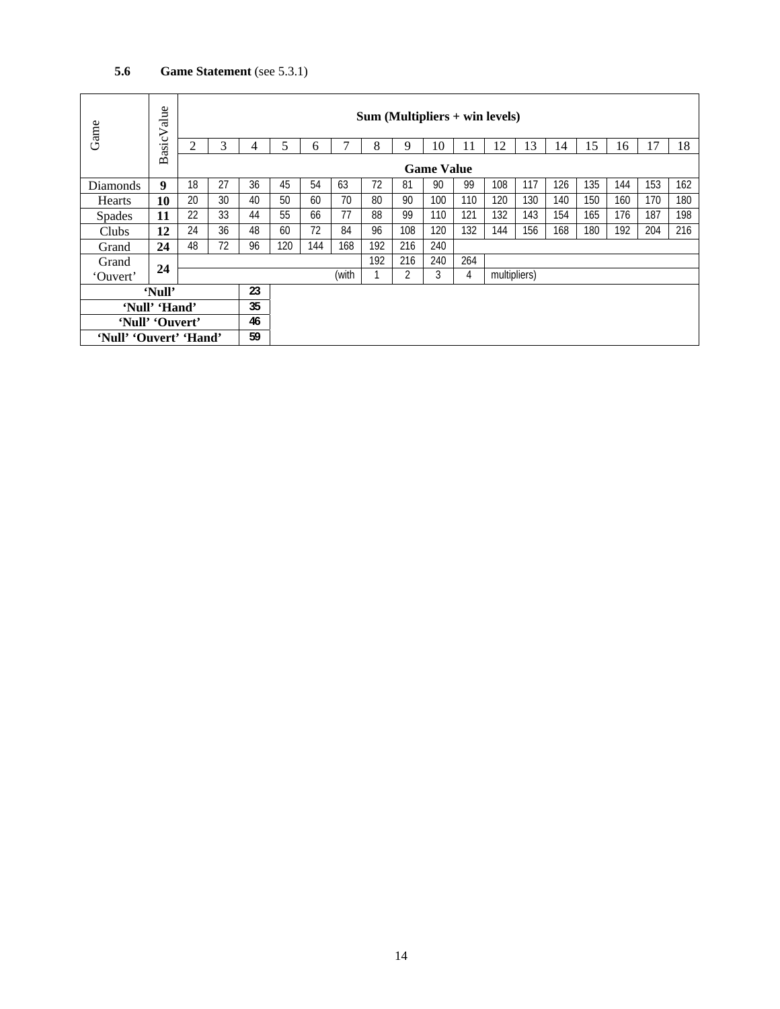## **5.6 Game Statement** (see 5.3.1)

| Game                   | alue<br>><br>Basic <sup>'</sup> | $Sum (Multipliers + win levels)$ |    |       |     |     |     |     |     |     |              |     |     |     |     |     |     |     |
|------------------------|---------------------------------|----------------------------------|----|-------|-----|-----|-----|-----|-----|-----|--------------|-----|-----|-----|-----|-----|-----|-----|
|                        |                                 | 2                                | 3  | 4     | 5   | 6   | 7   | 8   | 9   | 10  | 11           | 12  | 13  | 14  | 15  | 16  | 17  | 18  |
|                        |                                 | <b>Game Value</b>                |    |       |     |     |     |     |     |     |              |     |     |     |     |     |     |     |
| Diamonds               | 9                               | 18                               | 27 | 36    | 45  | 54  | 63  | 72  | 81  | 90  | 99           | 108 | 117 | 126 | 135 | 144 | 153 | 162 |
| <b>Hearts</b>          | 10                              | 20                               | 30 | 40    | 50  | 60  | 70  | 80  | 90  | 100 | 110          | 120 | 130 | 140 | 150 | 160 | 170 | 180 |
| <b>Spades</b>          | 11                              | 22                               | 33 | 44    | 55  | 66  | 77  | 88  | 99  | 110 | 121          | 132 | 143 | 154 | 165 | 176 | 187 | 198 |
| Clubs                  | 12                              | 24                               | 36 | 48    | 60  | 72  | 84  | 96  | 108 | 120 | 132          | 144 | 156 | 168 | 180 | 192 | 204 | 216 |
| Grand                  | 24                              | 48                               | 72 | 96    | 120 | 144 | 168 | 192 | 216 | 240 |              |     |     |     |     |     |     |     |
| Grand                  |                                 |                                  |    |       |     |     | 192 | 216 | 240 | 264 |              |     |     |     |     |     |     |     |
| 'Ouvert'               | 24                              |                                  |    | (with |     |     |     | 2   | 3   | 4   | multipliers) |     |     |     |     |     |     |     |
| 'Null'                 |                                 |                                  | 23 |       |     |     |     |     |     |     |              |     |     |     |     |     |     |     |
| 'Null' 'Hand'          |                                 |                                  | 35 |       |     |     |     |     |     |     |              |     |     |     |     |     |     |     |
| 'Null' 'Ouvert'        |                                 |                                  | 46 |       |     |     |     |     |     |     |              |     |     |     |     |     |     |     |
| 'Null' 'Ouvert' 'Hand' |                                 |                                  | 59 |       |     |     |     |     |     |     |              |     |     |     |     |     |     |     |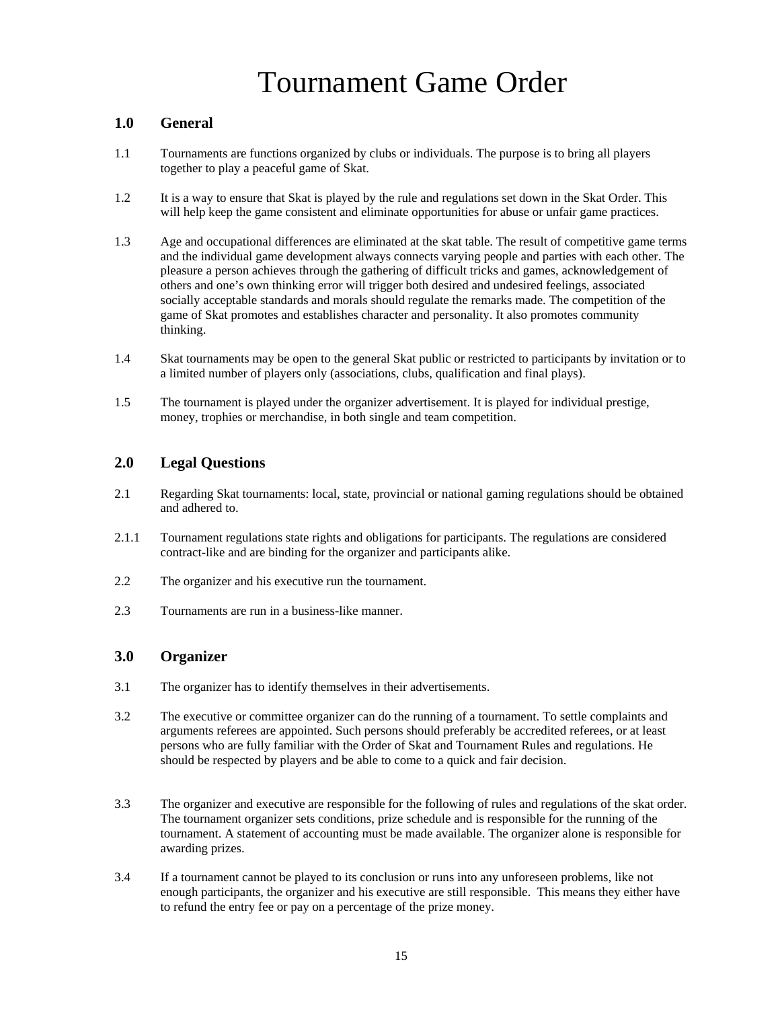# Tournament Game Order

## **1.0 General**

- 1.1 Tournaments are functions organized by clubs or individuals. The purpose is to bring all players together to play a peaceful game of Skat.
- 1.2 It is a way to ensure that Skat is played by the rule and regulations set down in the Skat Order. This will help keep the game consistent and eliminate opportunities for abuse or unfair game practices.
- 1.3 Age and occupational differences are eliminated at the skat table. The result of competitive game terms and the individual game development always connects varying people and parties with each other. The pleasure a person achieves through the gathering of difficult tricks and games, acknowledgement of others and one's own thinking error will trigger both desired and undesired feelings, associated socially acceptable standards and morals should regulate the remarks made. The competition of the game of Skat promotes and establishes character and personality. It also promotes community thinking.
- 1.4 Skat tournaments may be open to the general Skat public or restricted to participants by invitation or to a limited number of players only (associations, clubs, qualification and final plays).
- 1.5 The tournament is played under the organizer advertisement. It is played for individual prestige, money, trophies or merchandise, in both single and team competition.

## **2.0 Legal Questions**

- 2.1 Regarding Skat tournaments: local, state, provincial or national gaming regulations should be obtained and adhered to.
- 2.1.1 Tournament regulations state rights and obligations for participants. The regulations are considered contract-like and are binding for the organizer and participants alike.
- 2.2 The organizer and his executive run the tournament.
- 2.3 Tournaments are run in a business-like manner.

## **3.0 Organizer**

- 3.1 The organizer has to identify themselves in their advertisements.
- 3.2 The executive or committee organizer can do the running of a tournament. To settle complaints and arguments referees are appointed. Such persons should preferably be accredited referees, or at least persons who are fully familiar with the Order of Skat and Tournament Rules and regulations. He should be respected by players and be able to come to a quick and fair decision.
- 3.3 The organizer and executive are responsible for the following of rules and regulations of the skat order. The tournament organizer sets conditions, prize schedule and is responsible for the running of the tournament. A statement of accounting must be made available. The organizer alone is responsible for awarding prizes.
- 3.4 If a tournament cannot be played to its conclusion or runs into any unforeseen problems, like not enough participants, the organizer and his executive are still responsible. This means they either have to refund the entry fee or pay on a percentage of the prize money.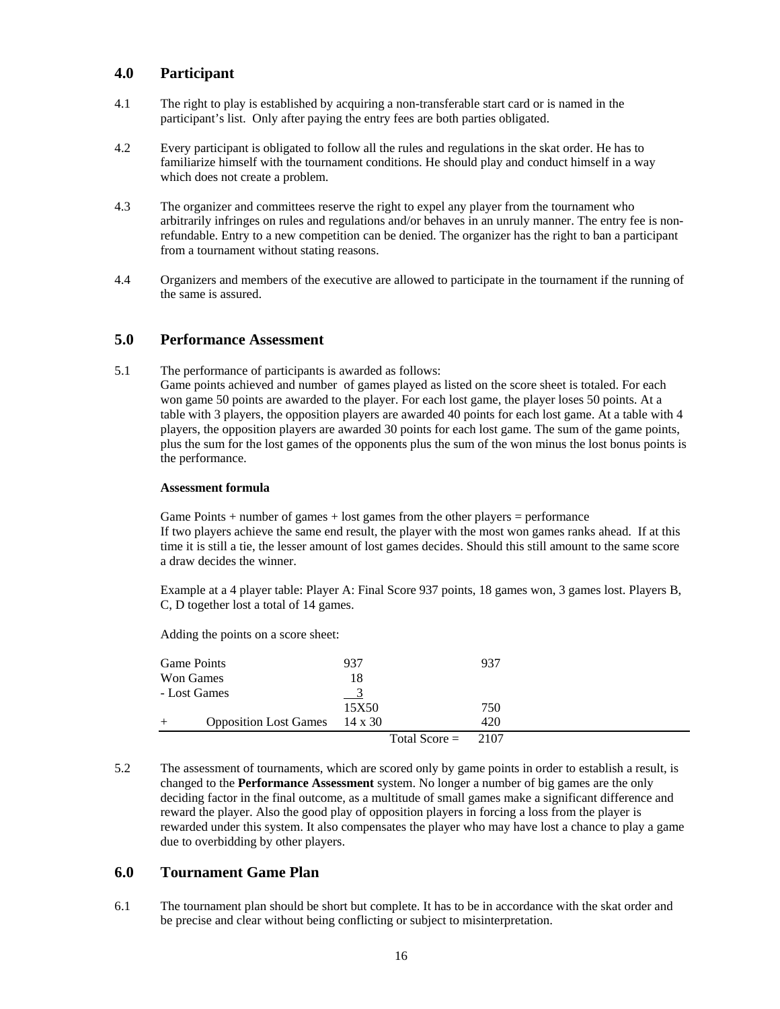## **4.0 Participant**

- 4.1 The right to play is established by acquiring a non-transferable start card or is named in the participant's list. Only after paying the entry fees are both parties obligated.
- 4.2 Every participant is obligated to follow all the rules and regulations in the skat order. He has to familiarize himself with the tournament conditions. He should play and conduct himself in a way which does not create a problem.
- 4.3 The organizer and committees reserve the right to expel any player from the tournament who arbitrarily infringes on rules and regulations and/or behaves in an unruly manner. The entry fee is nonrefundable. Entry to a new competition can be denied. The organizer has the right to ban a participant from a tournament without stating reasons.
- 4.4 Organizers and members of the executive are allowed to participate in the tournament if the running of the same is assured.

#### **5.0 Performance Assessment**

5.1 The performance of participants is awarded as follows: Game points achieved and number of games played as listed on the score sheet is totaled. For each won game 50 points are awarded to the player. For each lost game, the player loses 50 points. At a table with 3 players, the opposition players are awarded 40 points for each lost game. At a table with 4 players, the opposition players are awarded 30 points for each lost game. The sum of the game points, plus the sum for the lost games of the opponents plus the sum of the won minus the lost bonus points is the performance.

#### **Assessment formula**

Game Points  $+$  number of games  $+$  lost games from the other players  $=$  performance If two players achieve the same end result, the player with the most won games ranks ahead. If at this time it is still a tie, the lesser amount of lost games decides. Should this still amount to the same score a draw decides the winner.

Example at a 4 player table: Player A: Final Score 937 points, 18 games won, 3 games lost. Players B, C, D together lost a total of 14 games.

Adding the points on a score sheet:

| Game Points                             | 937                  | 937 |
|-----------------------------------------|----------------------|-----|
| Won Games                               | 18                   |     |
| - Lost Games                            | $\frac{3}{2}$        |     |
|                                         | 15X50                | 750 |
| Opposition Lost Games 14 x 30<br>$^{+}$ |                      | 420 |
|                                         | Total Score $= 2107$ |     |

5.2 The assessment of tournaments, which are scored only by game points in order to establish a result, is changed to the **Performance Assessment** system. No longer a number of big games are the only deciding factor in the final outcome, as a multitude of small games make a significant difference and reward the player. Also the good play of opposition players in forcing a loss from the player is rewarded under this system. It also compensates the player who may have lost a chance to play a game due to overbidding by other players.

## **6.0 Tournament Game Plan**

6.1 The tournament plan should be short but complete. It has to be in accordance with the skat order and be precise and clear without being conflicting or subject to misinterpretation.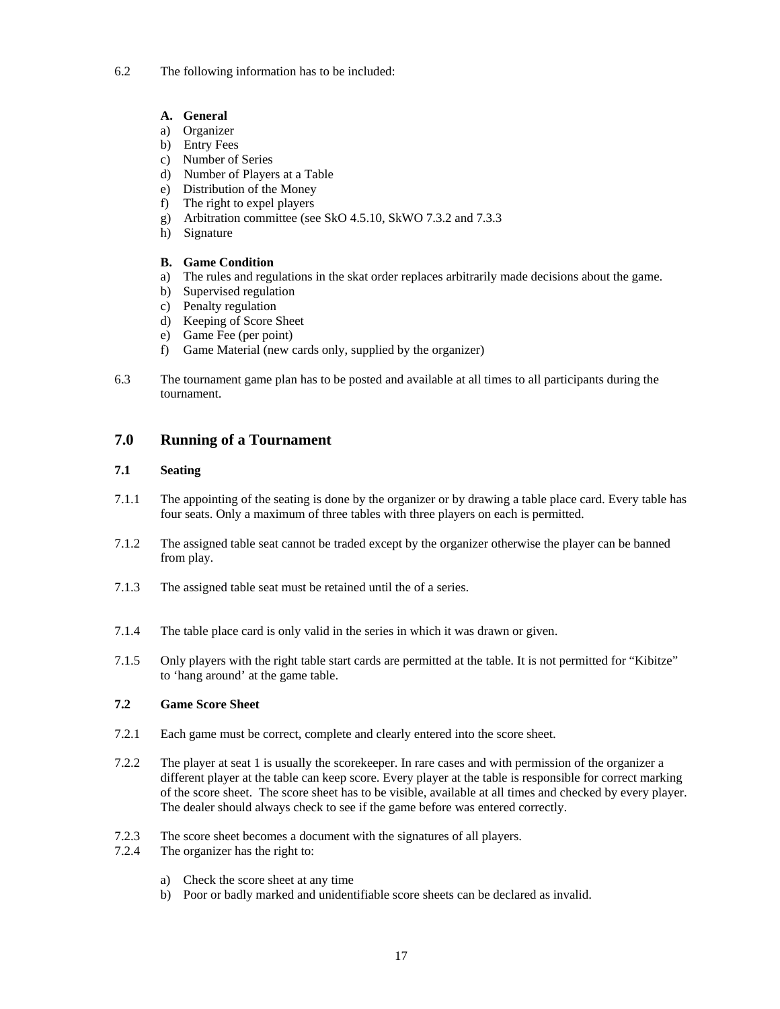6.2 The following information has to be included:

## **A. General**

- a) Organizer
- b) Entry Fees
- c) Number of Series
- d) Number of Players at a Table
- e) Distribution of the Money
- f) The right to expel players
- g) Arbitration committee (see SkO 4.5.10, SkWO 7.3.2 and 7.3.3
- h) Signature

## **B. Game Condition**

- a) The rules and regulations in the skat order replaces arbitrarily made decisions about the game.
- b) Supervised regulation
- c) Penalty regulation
- d) Keeping of Score Sheet
- e) Game Fee (per point)
- f) Game Material (new cards only, supplied by the organizer)
- 6.3 The tournament game plan has to be posted and available at all times to all participants during the tournament.

## **7.0 Running of a Tournament**

## **7.1 Seating**

- 7.1.1 The appointing of the seating is done by the organizer or by drawing a table place card. Every table has four seats. Only a maximum of three tables with three players on each is permitted.
- 7.1.2 The assigned table seat cannot be traded except by the organizer otherwise the player can be banned from play.
- 7.1.3 The assigned table seat must be retained until the of a series.
- 7.1.4 The table place card is only valid in the series in which it was drawn or given.
- 7.1.5 Only players with the right table start cards are permitted at the table. It is not permitted for "Kibitze" to 'hang around' at the game table.

## **7.2 Game Score Sheet**

- 7.2.1 Each game must be correct, complete and clearly entered into the score sheet.
- 7.2.2 The player at seat 1 is usually the scorekeeper. In rare cases and with permission of the organizer a different player at the table can keep score. Every player at the table is responsible for correct marking of the score sheet. The score sheet has to be visible, available at all times and checked by every player. The dealer should always check to see if the game before was entered correctly.
- 7.2.3 The score sheet becomes a document with the signatures of all players.
- 7.2.4 The organizer has the right to:
	- a) Check the score sheet at any time
	- b) Poor or badly marked and unidentifiable score sheets can be declared as invalid.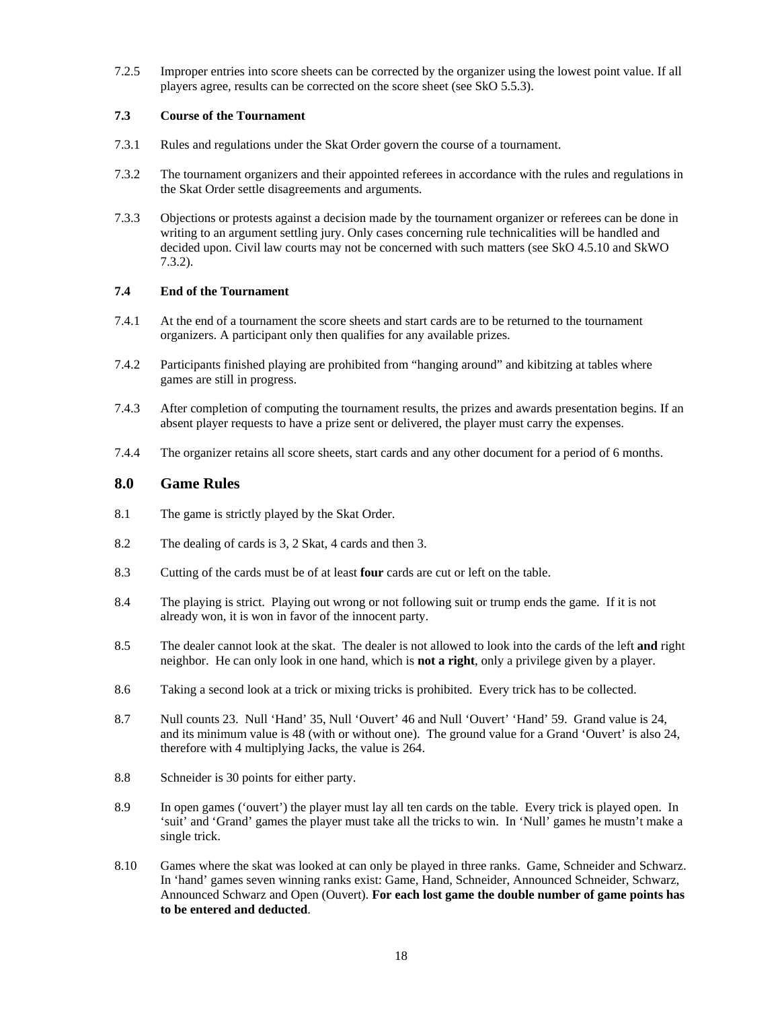7.2.5 Improper entries into score sheets can be corrected by the organizer using the lowest point value. If all players agree, results can be corrected on the score sheet (see SkO 5.5.3).

#### **7.3 Course of the Tournament**

- 7.3.1 Rules and regulations under the Skat Order govern the course of a tournament.
- 7.3.2 The tournament organizers and their appointed referees in accordance with the rules and regulations in the Skat Order settle disagreements and arguments.
- 7.3.3 Objections or protests against a decision made by the tournament organizer or referees can be done in writing to an argument settling jury. Only cases concerning rule technicalities will be handled and decided upon. Civil law courts may not be concerned with such matters (see SkO 4.5.10 and SkWO 7.3.2).

#### **7.4 End of the Tournament**

- 7.4.1 At the end of a tournament the score sheets and start cards are to be returned to the tournament organizers. A participant only then qualifies for any available prizes.
- 7.4.2 Participants finished playing are prohibited from "hanging around" and kibitzing at tables where games are still in progress.
- 7.4.3 After completion of computing the tournament results, the prizes and awards presentation begins. If an absent player requests to have a prize sent or delivered, the player must carry the expenses.
- 7.4.4 The organizer retains all score sheets, start cards and any other document for a period of 6 months.

## **8.0 Game Rules**

- 8.1 The game is strictly played by the Skat Order.
- 8.2 The dealing of cards is 3, 2 Skat, 4 cards and then 3.
- 8.3 Cutting of the cards must be of at least **four** cards are cut or left on the table.
- 8.4 The playing is strict. Playing out wrong or not following suit or trump ends the game. If it is not already won, it is won in favor of the innocent party.
- 8.5 The dealer cannot look at the skat. The dealer is not allowed to look into the cards of the left **and** right neighbor. He can only look in one hand, which is **not a right**, only a privilege given by a player.
- 8.6 Taking a second look at a trick or mixing tricks is prohibited. Every trick has to be collected.
- 8.7 Null counts 23. Null 'Hand' 35, Null 'Ouvert' 46 and Null 'Ouvert' 'Hand' 59. Grand value is 24, and its minimum value is 48 (with or without one). The ground value for a Grand 'Ouvert' is also 24, therefore with 4 multiplying Jacks, the value is 264.
- 8.8 Schneider is 30 points for either party.
- 8.9 In open games ('ouvert') the player must lay all ten cards on the table. Every trick is played open. In 'suit' and 'Grand' games the player must take all the tricks to win. In 'Null' games he mustn't make a single trick.
- 8.10 Games where the skat was looked at can only be played in three ranks. Game, Schneider and Schwarz. In 'hand' games seven winning ranks exist: Game, Hand, Schneider, Announced Schneider, Schwarz, Announced Schwarz and Open (Ouvert). **For each lost game the double number of game points has to be entered and deducted**.